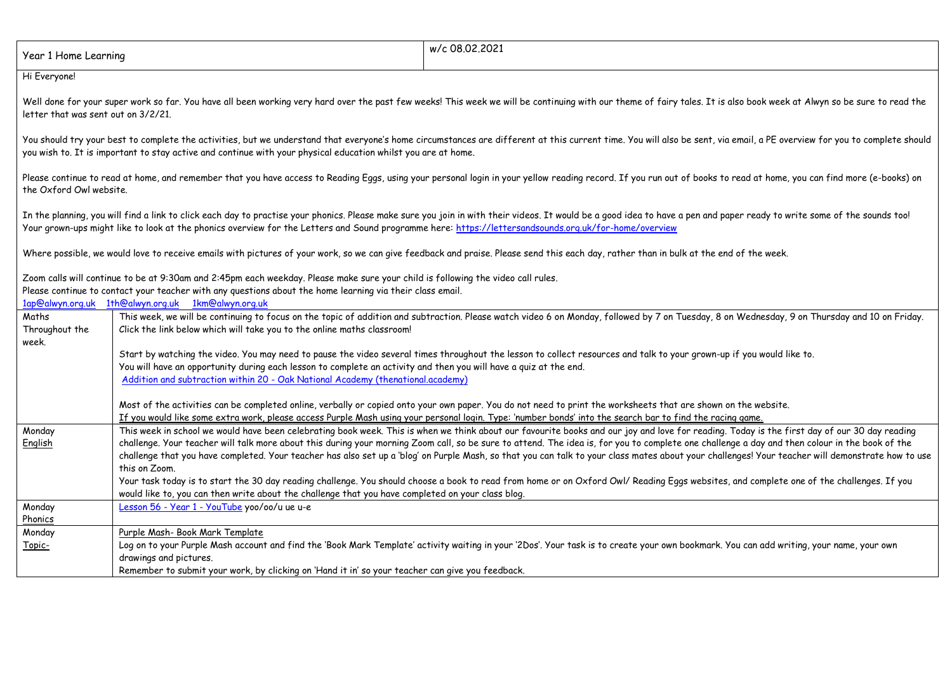| Year 1 Home Learning                                                                                                                                                                                                                                                                                | w/c 08.02.2021                                                                                                                                                                                                                                                                                                                                                                                                                                                                                                                                                                                                       |  |  |
|-----------------------------------------------------------------------------------------------------------------------------------------------------------------------------------------------------------------------------------------------------------------------------------------------------|----------------------------------------------------------------------------------------------------------------------------------------------------------------------------------------------------------------------------------------------------------------------------------------------------------------------------------------------------------------------------------------------------------------------------------------------------------------------------------------------------------------------------------------------------------------------------------------------------------------------|--|--|
| Hi Everyone!                                                                                                                                                                                                                                                                                        |                                                                                                                                                                                                                                                                                                                                                                                                                                                                                                                                                                                                                      |  |  |
| Well done for your super work so far. You have all been working very hard over the past few weeks! This week we will be continuing with our theme of fairy tales. It is also book week at Alwyn so be sure to read the<br>letter that was sent out on 3/2/21.                                       |                                                                                                                                                                                                                                                                                                                                                                                                                                                                                                                                                                                                                      |  |  |
|                                                                                                                                                                                                                                                                                                     | You should try your best to complete the activities, but we understand that everyone's home circumstances are different at this current time. You will also be sent, via email, a PE overview for you to complete should<br>you wish to. It is important to stay active and continue with your physical education whilst you are at home.                                                                                                                                                                                                                                                                            |  |  |
| the Oxford Owl website.                                                                                                                                                                                                                                                                             | Please continue to read at home, and remember that you have access to Reading Eggs, using your personal login in your yellow reading record. If you run out of books to read at home, you can find more (e-books) on                                                                                                                                                                                                                                                                                                                                                                                                 |  |  |
|                                                                                                                                                                                                                                                                                                     | In the planning, you will find a link to click each day to practise your phonics. Please make sure you join in with their videos. It would be a good idea to have a pen and paper ready to write some of the sounds too!<br>Your grown-ups might like to look at the phonics overview for the Letters and Sound programme here: https://lettersandsounds.org.uk/for-home/overview                                                                                                                                                                                                                                    |  |  |
| Where possible, we would love to receive emails with pictures of your work, so we can give feedback and praise. Please send this each day, rather than in bulk at the end of the week.                                                                                                              |                                                                                                                                                                                                                                                                                                                                                                                                                                                                                                                                                                                                                      |  |  |
| Zoom calls will continue to be at 9:30am and 2:45pm each weekday. Please make sure your child is following the video call rules.<br>Please continue to contact your teacher with any questions about the home learning via their class email.<br>1ap@alwyn.org.uk 1th@alwyn.org.uk 1km@alwyn.org.uk |                                                                                                                                                                                                                                                                                                                                                                                                                                                                                                                                                                                                                      |  |  |
| Maths<br>Throughout the<br>week.                                                                                                                                                                                                                                                                    | This week, we will be continuing to focus on the topic of addition and subtraction. Please watch video 6 on Monday, followed by 7 on Tuesday, 8 on Wednesday, 9 on Thursday and 10 on Friday.<br>Click the link below which will take you to the online maths classroom!                                                                                                                                                                                                                                                                                                                                             |  |  |
|                                                                                                                                                                                                                                                                                                     | Start by watching the video. You may need to pause the video several times throughout the lesson to collect resources and talk to your grown-up if you would like to.<br>You will have an opportunity during each lesson to complete an activity and then you will have a quiz at the end.<br>Addition and subtraction within 20 - Oak National Academy (thenational.academy)                                                                                                                                                                                                                                        |  |  |
|                                                                                                                                                                                                                                                                                                     | Most of the activities can be completed online, verbally or copied onto your own paper. You do not need to print the worksheets that are shown on the website.<br>If you would like some extra work, please access Purple Mash using your personal login. Type: 'number bonds' into the search bar to find the racing game.                                                                                                                                                                                                                                                                                          |  |  |
| Monday<br>English                                                                                                                                                                                                                                                                                   | This week in school we would have been celebrating book week. This is when we think about our favourite books and our joy and love for reading. Today is the first day of our 30 day reading<br>challenge. Your teacher will talk more about this during your morning Zoom call, so be sure to attend. The idea is, for you to complete one challenge a day and then colour in the book of the<br>challenge that you have completed. Your teacher has also set up a 'blog' on Purple Mash, so that you can talk to your class mates about your challenges! Your teacher will demonstrate how to use<br>this on Zoom. |  |  |
|                                                                                                                                                                                                                                                                                                     | Your task today is to start the 30 day reading challenge. You should choose a book to read from home or on Oxford Owl/ Reading Eggs websites, and complete one of the challenges. If you<br>would like to, you can then write about the challenge that you have completed on your class blog.                                                                                                                                                                                                                                                                                                                        |  |  |
| Monday<br>Phonics                                                                                                                                                                                                                                                                                   | Lesson 56 - Year 1 - YouTube yoo/oo/u ue u-e                                                                                                                                                                                                                                                                                                                                                                                                                                                                                                                                                                         |  |  |
| Monday<br>Topic-                                                                                                                                                                                                                                                                                    | Purple Mash- Book Mark Template<br>Log on to your Purple Mash account and find the 'Book Mark Template' activity waiting in your '2Dos'. Your task is to create your own bookmark. You can add writing, your name, your own<br>drawings and pictures.<br>Remember to submit your work, by clicking on 'Hand it in' so your teacher can give you feedback.                                                                                                                                                                                                                                                            |  |  |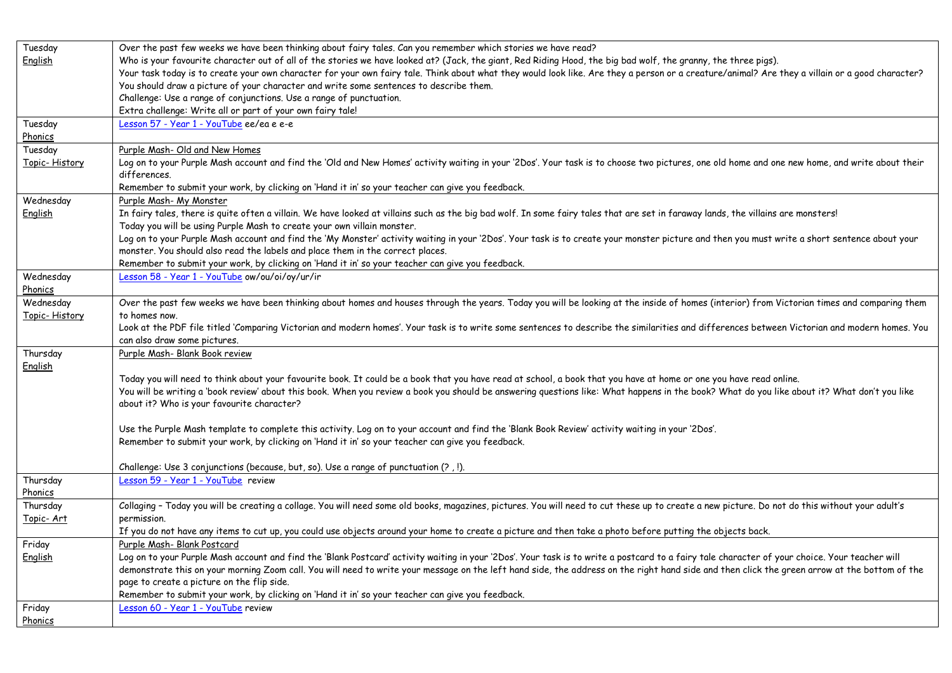| Tuesday            | Over the past few weeks we have been thinking about fairy tales. Can you remember which stories we have read?                                                                                   |
|--------------------|-------------------------------------------------------------------------------------------------------------------------------------------------------------------------------------------------|
| <u>English</u>     | Who is your favourite character out of all of the stories we have looked at? (Jack, the giant, Red Riding Hood, the big bad wolf, the granny, the three pigs).                                  |
|                    | Your task today is to create your own character for your own fairy tale. Think about what they would look like. Are they a person or a creature/animal? Are they a villain or a good character? |
|                    | You should draw a picture of your character and write some sentences to describe them.                                                                                                          |
|                    | Challenge: Use a range of conjunctions. Use a range of punctuation.                                                                                                                             |
|                    | Extra challenge: Write all or part of your own fairy tale!                                                                                                                                      |
| Tuesday            | Lesson 57 - Year 1 - YouTube ee/ea e e-e                                                                                                                                                        |
| Phonics            |                                                                                                                                                                                                 |
| Tuesday            | Purple Mash- Old and New Homes                                                                                                                                                                  |
| Topic-History      | Log on to your Purple Mash account and find the 'Old and New Homes' activity waiting in your '2Dos'. Your task is to choose two pictures, one old home and one new home, and write about their  |
|                    | differences.                                                                                                                                                                                    |
|                    | Remember to submit your work, by clicking on 'Hand it in' so your teacher can give you feedback.                                                                                                |
| Wednesday          | Purple Mash- My Monster                                                                                                                                                                         |
| English            | In fairy tales, there is quite often a villain. We have looked at villains such as the big bad wolf. In some fairy tales that are set in faraway lands, the villains are monsters!              |
|                    | Today you will be using Purple Mash to create your own villain monster.                                                                                                                         |
|                    | Log on to your Purple Mash account and find the 'My Monster' activity waiting in your '2Dos'. Your task is to create your monster picture and then you must write a short sentence about your   |
|                    | monster. You should also read the labels and place them in the correct places.                                                                                                                  |
|                    | Remember to submit your work, by clicking on 'Hand it in' so your teacher can give you feedback.                                                                                                |
| Wednesday          | Lesson 58 - Year 1 - YouTube ow/ou/oi/oy/ur/ir                                                                                                                                                  |
| Phonics            |                                                                                                                                                                                                 |
| Wednesday          | Over the past few weeks we have been thinking about homes and houses through the years. Today you will be looking at the inside of homes (interior) from Victorian times and comparing them     |
| Topic-History      | to homes now.                                                                                                                                                                                   |
|                    | Look at the PDF file titled 'Comparing Victorian and modern homes'. Your task is to write some sentences to describe the similarities and differences between Victorian and modern homes. You   |
|                    | can also draw some pictures.                                                                                                                                                                    |
| Thursday           | Purple Mash- Blank Book review                                                                                                                                                                  |
| English            |                                                                                                                                                                                                 |
|                    | Today you will need to think about your favourite book. It could be a book that you have read at school, a book that you have at home or one you have read online.                              |
|                    | You will be writing a 'book review' about this book. When you review a book you should be answering questions like: What happens in the book? What do you like about it? What don't you like    |
|                    | about it? Who is your favourite character?                                                                                                                                                      |
|                    |                                                                                                                                                                                                 |
|                    | Use the Purple Mash template to complete this activity. Log on to your account and find the 'Blank Book Review' activity waiting in your '2Dos'.                                                |
|                    | Remember to submit your work, by clicking on 'Hand it in' so your teacher can give you feedback.                                                                                                |
|                    |                                                                                                                                                                                                 |
|                    | Challenge: Use 3 conjunctions (because, but, so). Use a range of punctuation (?,!).                                                                                                             |
| Thursday           | Lesson 59 - Year 1 - YouTube review                                                                                                                                                             |
| <u>Phonics</u>     |                                                                                                                                                                                                 |
| Thursday           | Collaging - Today you will be creating a collage. You will need some old books, magazines, pictures. You will need to cut these up to create a new picture. Do not do this without your adult's |
| <u> Topic- Art</u> | permission.                                                                                                                                                                                     |
|                    | If you do not have any items to cut up, you could use objects around your home to create a picture and then take a photo before putting the objects back.                                       |
| Friday             | Purple Mash- Blank Postcard                                                                                                                                                                     |
| <u>English</u>     | Log on to your Purple Mash account and find the 'Blank Postcard' activity waiting in your '2Dos'. Your task is to write a postcard to a fairy tale character of your choice. Your teacher will  |
|                    | demonstrate this on your morning Zoom call. You will need to write your message on the left hand side, the address on the right hand side and then click the green arrow at the bottom of the   |
|                    | page to create a picture on the flip side.                                                                                                                                                      |
|                    | Remember to submit your work, by clicking on 'Hand it in' so your teacher can give you feedback.                                                                                                |
|                    |                                                                                                                                                                                                 |
| Friday             | Lesson 60 - Year 1 - YouTube review                                                                                                                                                             |